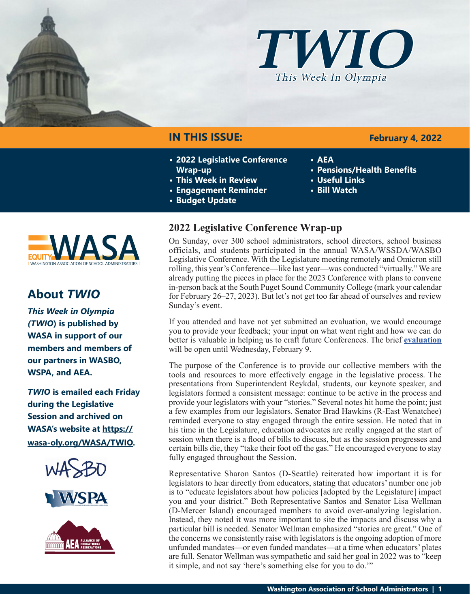



## **IN THIS ISSUE:**

- **• 2022 Legislative Conference Wrap-up**
- **• This Week in Review**
- **• Engagement Reminder**
- **• Budget Update**
- **2022 Legislative Conference Wrap-up**

On Sunday, over 300 school administrators, school directors, school business officials, and students participated in the annual WASA/WSSDA/WASBO Legislative Conference. With the Legislature meeting remotely and Omicron still rolling, this year's Conference—like last year—was conducted "virtually." We are already putting the pieces in place for the 2023 Conference with plans to convene in-person back at the South Puget Sound Community College (mark your calendar for February 26–27, 2023). But let's not get too far ahead of ourselves and review Sunday's event.

If you attended and have not yet submitted an evaluation, we would encourage you to provide your feedback; your input on what went right and how we can do better is valuable in helping us to craft future Conferences. The brief **[evaluation](https://form.123formbuilder.com/6084678/form)** will be open until Wednesday, February 9.

The purpose of the Conference is to provide our collective members with the tools and resources to more effectively engage in the legislative process. The presentations from Superintendent Reykdal, students, our keynote speaker, and legislators formed a consistent message: continue to be active in the process and provide your legislators with your "stories." Several notes hit home the point; just a few examples from our legislators. Senator Brad Hawkins (R-East Wenatchee) reminded everyone to stay engaged through the entire session. He noted that in his time in the Legislature, education advocates are really engaged at the start of session when there is a flood of bills to discuss, but as the session progresses and certain bills die, they "take their foot off the gas." He encouraged everyone to stay fully engaged throughout the Session.

Representative Sharon Santos (D-Seattle) reiterated how important it is for legislators to hear directly from educators, stating that educators' number one job is to "educate legislators about how policies [adopted by the Legislature] impact you and your district." Both Representative Santos and Senator Lisa Wellman (D-Mercer Island) encouraged members to avoid over-analyzing legislation. Instead, they noted it was more important to site the impacts and discuss why a particular bill is needed. Senator Wellman emphasized "stories are great." One of the concerns we consistently raise with legislators is the ongoing adoption of more unfunded mandates—or even funded mandates—at a time when educators' plates are full. Senator Wellman was sympathetic and said her goal in 2022 was to "keep it simple, and not say 'here's something else for you to do.'"

### **February 4, 2022**

- **• AEA**
- **• Pensions/Health Benefits**
- **• Useful Links**
- **• Bill Watch**



# **About** *TWIO*

*This Week in Olympia (TWIO***) is published by WASA in support of our members and members of our partners in WASBO, WSPA, and AEA.**

*TWIO* **is emailed each Friday during the Legislative Session and archived on WASA's website at [https://](http://app.leg.wa.gov/billsummary?Year=2021&BillNumber=1803) [wasa-oly.org/WASA/TWIO](http://app.leg.wa.gov/billsummary?Year=2021&BillNumber=1803).** 



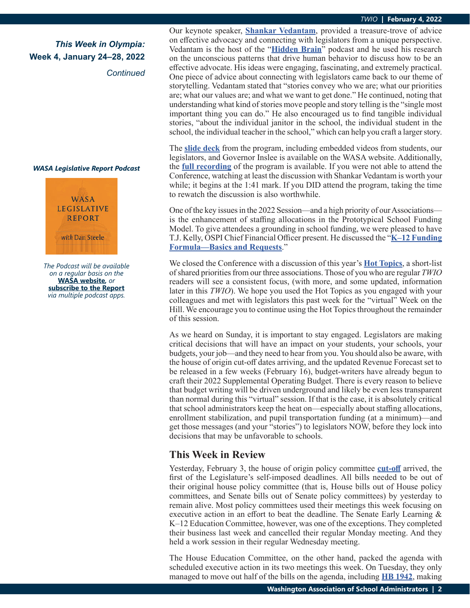### *This Week in Olympia:* **Week 4, January 24–28, 2022**

*Continued*

#### *WASA Legislative Report Podcast*



*The Podcast will be available on a regular basis on the*  **WASA website***, or* **subscribe to the Report** *via multiple podcast apps.*

Our keynote speaker, **[Shankar Vedantam](https://en.wikipedia.org/wiki/Shankar_Vedantam)**, provided a treasure-trove of advice on effective advocacy and connecting with legislators from a unique perspective. Vedantam is the host of the "**[Hidden Brain](https://hiddenbrain.org/)**" podcast and he used his research on the unconscious patterns that drive human behavior to discuss how to be an effective advocate. His ideas were engaging, fascinating, and extremely practical. One piece of advice about connecting with legislators came back to our theme of storytelling. Vedantam stated that "stories convey who we are; what our priorities are; what our values are; and what we want to get done." He continued, noting that understanding what kind of stories move people and story telling is the "single most important thing you can do." He also encouraged us to find tangible individual stories, "about the individual janitor in the school, the individual student in the school, the individual teacher in the school," which can help you craft a larger story.

The **[slide deck](https://wasa-oly.org/WASA/images/WASA/5.0 Professional Development/4.2 Conference Resources/Conference Slides Leg.p2022Aptx.pdf)** from the program, including embedded videos from students, our legislators, and Governor Inslee is available on the WASA website. Additionally, the **[full recording](https://vimeo.com/672441339)** of the program is available. If you were not able to attend the Conference, watching at least the discussion with Shankar Vedantam is worth your while; it begins at the 1:41 mark. If you DID attend the program, taking the time to rewatch the discussion is also worthwhile.

One of the key issues in the 2022 Session—and a high priority of our Associations is the enhancement of staffing allocations in the Prototypical School Funding Model. To give attendees a grounding in school funding, we were pleased to have T.J. Kelly, OSPI Chief Financial Officer present. He discussed the "**[K–12 Funding](https://wasa-oly.org/WASA/images/WASA/5.0 Professional Development/4.2 Conference Resources/2022/WSSDA Prototypcial Presentation January 30 2022.pdf) [Formula—Basics and Requests](https://wasa-oly.org/WASA/images/WASA/5.0 Professional Development/4.2 Conference Resources/2022/WSSDA Prototypcial Presentation January 30 2022.pdf)**."

We closed the Conference with a discussion of this year's **[Hot Topics](https://wasa-oly.org/WASA/images/WASA/6.0 Resources/6.1.4 Hot Topics/2022 Legislative Conf Hot Topics.pdf)**, a short-list of shared priorities from our three associations. Those of you who are regular *TWIO* readers will see a consistent focus, (with more, and some updated, information later in this *TWIO*). We hope you used the Hot Topics as you engaged with your colleagues and met with legislators this past week for the "virtual" Week on the Hill. We encourage you to continue using the Hot Topics throughout the remainder of this session.

As we heard on Sunday, it is important to stay engaged. Legislators are making critical decisions that will have an impact on your students, your schools, your budgets, your job—and they need to hear from you. You should also be aware, with the house of origin cut-off dates arriving, and the updated Revenue Forecast set to be released in a few weeks (February 16), budget-writers have already begun to craft their 2022 Supplemental Operating Budget. There is every reason to believe that budget writing will be driven underground and likely be even less transparent than normal during this "virtual" session. If that is the case, it is absolutely critical that school administrators keep the heat on—especially about staffing allocations, enrollment stabilization, and pupil transportation funding (at a minimum)—and get those messages (and your "stories") to legislators NOW, before they lock into decisions that may be unfavorable to schools.

### **This Week in Review**

Yesterday, February 3, the house of origin policy committee **[cut-off](https://leg.wa.gov/legislature/Pages/cutoff.aspx)** arrived, the first of the Legislature's self-imposed deadlines. All bills needed to be out of their original house policy committee (that is, House bills out of House policy committees, and Senate bills out of Senate policy committees) by yesterday to remain alive. Most policy committees used their meetings this week focusing on executive action in an effort to beat the deadline. The Senate Early Learning & K–12 Education Committee, however, was one of the exceptions. They completed their business last week and cancelled their regular Monday meeting. And they held a work session in their regular Wednesday meeting.

The House Education Committee, on the other hand, packed the agenda with scheduled executive action in its two meetings this week. On Tuesday, they only managed to move out half of the bills on the agenda, including **[HB 1942](https://app.leg.wa.gov/billsummary?BillNumber=1942&Year=2021&Initiative=false)**, making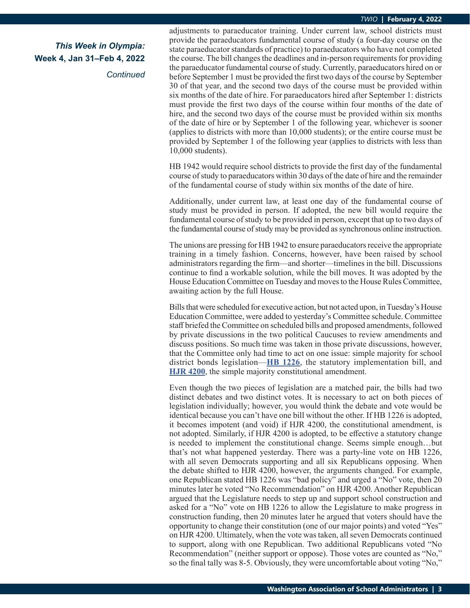*Continued*

adjustments to paraeducator training. Under current law, school districts must provide the paraeducators fundamental course of study (a four-day course on the state paraeducator standards of practice) to paraeducators who have not completed the course. The bill changes the deadlines and in-person requirements for providing the paraeducator fundamental course of study. Currently, paraeducators hired on or before September 1 must be provided the first two days of the course by September 30 of that year, and the second two days of the course must be provided within six months of the date of hire. For paraeducators hired after September 1: districts must provide the first two days of the course within four months of the date of hire, and the second two days of the course must be provided within six months of the date of hire or by September 1 of the following year, whichever is sooner (applies to districts with more than 10,000 students); or the entire course must be provided by September 1 of the following year (applies to districts with less than 10,000 students).

HB 1942 would require school districts to provide the first day of the fundamental course of study to paraeducators within 30 days of the date of hire and the remainder of the fundamental course of study within six months of the date of hire.

Additionally, under current law, at least one day of the fundamental course of study must be provided in person. If adopted, the new bill would require the fundamental course of study to be provided in person, except that up to two days of the fundamental course of study may be provided as synchronous online instruction.

The unions are pressing for HB 1942 to ensure paraeducators receive the appropriate training in a timely fashion. Concerns, however, have been raised by school administrators regarding the firm—and shorter—timelines in the bill. Discussions continue to find a workable solution, while the bill moves. It was adopted by the House Education Committee on Tuesday and moves to the House Rules Committee, awaiting action by the full House.

Bills that were scheduled for executive action, but not acted upon, in Tuesday's House Education Committee, were added to yesterday's Committee schedule. Committee staff briefed the Committee on scheduled bills and proposed amendments, followed by private discussions in the two political Caucuses to review amendments and discuss positions. So much time was taken in those private discussions, however, that the Committee only had time to act on one issue: simple majority for school district bonds legislation—**[HB 1226](https://app.leg.wa.gov/billsummary?BillNumber=1226&Initiative=false&Year=2021)**, the statutory implementation bill, and **[HJR 4200](https://app.leg.wa.gov/billsummary?BillNumber=4200&Initiative=false&Year=2021)**, the simple majority constitutional amendment.

Even though the two pieces of legislation are a matched pair, the bills had two distinct debates and two distinct votes. It is necessary to act on both pieces of legislation individually; however, you would think the debate and vote would be identical because you can't have one bill without the other. If HB 1226 is adopted, it becomes impotent (and void) if HJR 4200, the constitutional amendment, is not adopted. Similarly, if HJR 4200 is adopted, to be effective a statutory change is needed to implement the constitutional change. Seems simple enough…but that's not what happened yesterday. There was a party-line vote on HB 1226, with all seven Democrats supporting and all six Republicans opposing. When the debate shifted to HJR 4200, however, the arguments changed. For example, one Republican stated HB 1226 was "bad policy" and urged a "No" vote, then 20 minutes later he voted "No Recommendation" on HJR 4200. Another Republican argued that the Legislature needs to step up and support school construction and asked for a "No" vote on HB 1226 to allow the Legislature to make progress in construction funding, then 20 minutes later he argued that voters should have the opportunity to change their constitution (one of our major points) and voted "Yes" on HJR 4200. Ultimately, when the vote was taken, all seven Democrats continued to support, along with one Republican. Two additional Republicans voted "No Recommendation" (neither support or oppose). Those votes are counted as "No," so the final tally was 8-5. Obviously, they were uncomfortable about voting "No,"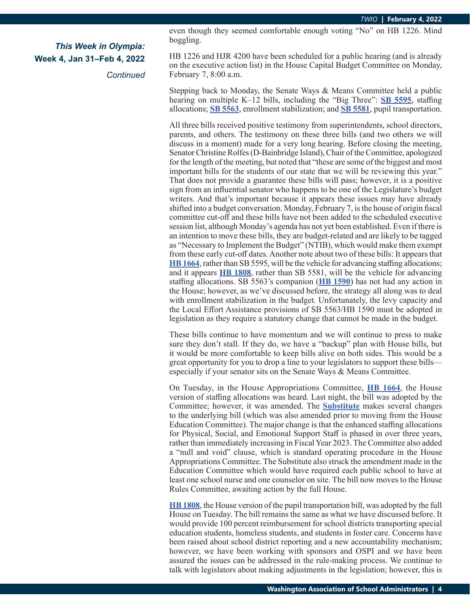*Continued*

even though they seemed comfortable enough voting "No" on HB 1226. Mind boggling.

HB 1226 and HJR 4200 have been scheduled for a public hearing (and is already on the executive action list) in the House Capital Budget Committee on Monday, February 7, 8:00 a.m.

Stepping back to Monday, the Senate Ways & Means Committee held a public hearing on multiple K–12 bills, including the "Big Three": **[SB 5595](https://app.leg.wa.gov/billsummary?BillNumber=5595&Initiative=false&Year=2021)**, staffing allocations; **[SB 5563](https://app.leg.wa.gov/billsummary?BillNumber=5563&Initiative=false&Year=2021)**, enrollment stabilization; and **[SB 5581](https://app.leg.wa.gov/billsummary?BillNumber=5581&Initiative=false&Year=2021)**, pupil transportation.

All three bills received positive testimony from superintendents, school directors, parents, and others. The testimony on these three bills (and two others we will discuss in a moment) made for a very long hearing. Before closing the meeting, Senator Christine Rolfes (D-Bainbridge Island), Chair of the Committee, apologized for the length of the meeting, but noted that "these are some of the biggest and most important bills for the students of our state that we will be reviewing this year." That does not provide a guarantee these bills will pass; however, it is a positive sign from an influential senator who happens to be one of the Legislature's budget writers. And that's important because it appears these issues may have already shifted into a budget conversation. Monday, February 7, is the house of origin fiscal committee cut-off and these bills have not been added to the scheduled executive session list, although Monday's agenda has not yet been established. Even if there is an intention to move these bills, they are budget-related and are likely to be tagged as "Necessary to Implement the Budget" (NTIB), which would make them exempt from these early cut-off dates. Another note about two of these bills: It appears that **[HB 1664](https://app.leg.wa.gov/billsummary?BillNumber=1664&Initiative=false&Year=2021)**, rather than SB 5595, will be the vehicle for advancing staffing allocations; and it appears **[HB 1808](https://app.leg.wa.gov/billsummary?BillNumber=1808&Initiative=false&Year=2021)**, rather than SB 5581, will be the vehicle for advancing staffing allocations. SB 5563's companion (**[HB 1590](https://app.leg.wa.gov/billsummary?BillNumber=1590&Initiative=false&Year=2021)**) has not had any action in the House; however, as we've discussed before, the strategy all along was to deal with enrollment stabilization in the budget. Unfortunately, the levy capacity and the Local Effort Assistance provisions of SB 5563/HB 1590 must be adopted in legislation as they require a statutory change that cannot be made in the budget.

These bills continue to have momentum and we will continue to press to make sure they don't stall. If they do, we have a "backup" plan with House bills, but it would be more comfortable to keep bills alive on both sides. This would be a great opportunity for you to drop a line to your legislators to support these bills especially if your senator sits on the Senate Ways & Means Committee.

On Tuesday, in the House Appropriations Committee, **[HB 1664](https://app.leg.wa.gov/billsummary?BillNumber=1664&Initiative=false&Year=2021)**, the House version of staffing allocations was heard. Last night, the bill was adopted by the Committee; however, it was amended. The **[Substitute](https://app.leg.wa.gov/committeeschedules/Home/Document/241134#toolbar=0&navpanes=0)** makes several changes to the underlying bill (which was also amended prior to moving from the House Education Committee). The major change is that the enhanced staffing allocations for Physical, Social, and Emotional Support Staff is phased in over three years, rather than immediately increasing in Fiscal Year 2023. The Committee also added a "null and void" clause, which is standard operating procedure in the House Appropriations Committee. The Substitute also struck the amendment made in the Education Committee which would have required each public school to have at least one school nurse and one counselor on site. The bill now moves to the House Rules Committee, awaiting action by the full House.

**[HB 1808](https://app.leg.wa.gov/billsummary?BillNumber=1808&Initiative=false&Year=2021)**, the House version of the pupil transportation bill, was adopted by the full House on Tuesday. The bill remains the same as what we have discussed before. It would provide 100 percent reimbursement for school districts transporting special education students, homeless students, and students in foster care. Concerns have been raised about school district reporting and a new accountability mechanism; however, we have been working with sponsors and OSPI and we have been assured the issues can be addressed in the rule-making process. We continue to talk with legislators about making adjustments in the legislation; however, this is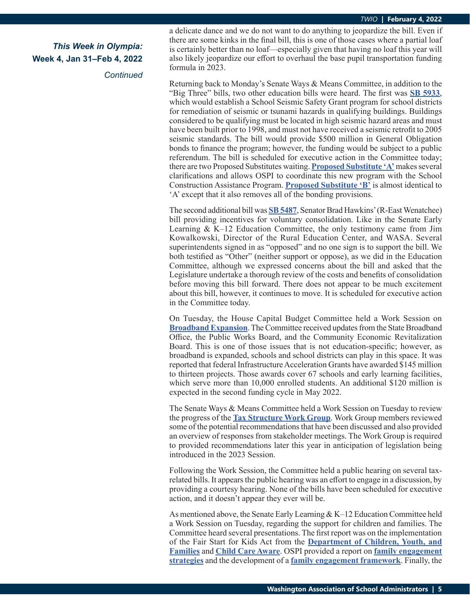*Continued*

a delicate dance and we do not want to do anything to jeopardize the bill. Even if there are some kinks in the final bill, this is one of those cases where a partial loaf is certainly better than no loaf—especially given that having no loaf this year will also likely jeopardize our effort to overhaul the base pupil transportation funding formula in 2023.

Returning back to Monday's Senate Ways & Means Committee, in addition to the "Big Three" bills, two other education bills were heard. The first was **[SB 5933](https://app.leg.wa.gov/billsummary?BillNumber=5933&Initiative=false&Year=2021)**, which would establish a School Seismic Safety Grant program for school districts for remediation of seismic or tsunami hazards in qualifying buildings. Buildings considered to be qualifying must be located in high seismic hazard areas and must have been built prior to 1998, and must not have received a seismic retrofit to 2005 seismic standards. The bill would provide \$500 million in General Obligation bonds to finance the program; however, the funding would be subject to a public referendum. The bill is scheduled for executive action in the Committee today; there are two Proposed Substitutes waiting. **[Proposed Substitute 'A'](https://app.leg.wa.gov/committeeschedules/Home/Document/241361#toolbar=0&navpanes=0)** makes several clarifications and allows OSPI to coordinate this new program with the School Construction Assistance Program. **[Proposed Substitute 'B'](https://app.leg.wa.gov/committeeschedules/Home/Document/241360#toolbar=0&navpanes=0)** is almost identical to 'A' except that it also removes all of the bonding provisions.

The second additional bill was **[SB 5487](https://app.leg.wa.gov/billsummary?BillNumber=5487&Initiative=false&Year=2021)**, Senator Brad Hawkins' (R-East Wenatchee) bill providing incentives for voluntary consolidation. Like in the Senate Early Learning & K–12 Education Committee, the only testimony came from Jim Kowalkowski, Director of the Rural Education Center, and WASA. Several superintendents signed in as "opposed" and no one sign is to support the bill. We both testified as "Other" (neither support or oppose), as we did in the Education Committee, although we expressed concerns about the bill and asked that the Legislature undertake a thorough review of the costs and benefits of consolidation before moving this bill forward. There does not appear to be much excitement about this bill, however, it continues to move. It is scheduled for executive action in the Committee today.

On Tuesday, the House Capital Budget Committee held a Work Session on **[Broadband Expansion](https://app.leg.wa.gov/committeeschedules/Home/Document/240504#toolbar=0&navpanes=0)**. The Committee received updates from the State Broadband Office, the Public Works Board, and the Community Economic Revitalization Board. This is one of those issues that is not education-specific; however, as broadband is expanded, schools and school districts can play in this space. It was reported that federal Infrastructure Acceleration Grants have awarded \$145 million to thirteen projects. Those awards cover 67 schools and early learning facilities, which serve more than 10,000 enrolled students. An additional \$120 million is expected in the second funding cycle in May 2022.

The Senate Ways & Means Committee held a Work Session on Tuesday to review the progress of the **[Tax Structure Work Group](https://app.leg.wa.gov/committeeschedules/Home/Document/240581#toolbar=0&navpanes=0)**. Work Group members reviewed some of the potential recommendations that have been discussed and also provided an overview of responses from stakeholder meetings. The Work Group is required to provided recommendations later this year in anticipation of legislation being introduced in the 2023 Session.

Following the Work Session, the Committee held a public hearing on several taxrelated bills. It appears the public hearing was an effort to engage in a discussion, by providing a courtesy hearing. None of the bills have been scheduled for executive action, and it doesn't appear they ever will be.

As mentioned above, the Senate Early Learning & K–12 Education Committee held a Work Session on Tuesday, regarding the support for children and families. The Committee heard several presentations. The first report was on the implementation of the Fair Start for Kids Act from the **[Department of Children, Youth, and](https://app.leg.wa.gov/committeeschedules/Home/Document/240915#toolbar=0&navpanes=0)  [Families](https://app.leg.wa.gov/committeeschedules/Home/Document/240915#toolbar=0&navpanes=0)** and **[Child Care Aware](https://app.leg.wa.gov/committeeschedules/Home/Document/240917#toolbar=0&navpanes=0)**. OSPI provided a report on **[family engagement](https://app.leg.wa.gov/committeeschedules/Home/Document/241037#toolbar=0&navpanes=0) [strategies](https://app.leg.wa.gov/committeeschedules/Home/Document/241037#toolbar=0&navpanes=0)** and the development of a **[family engagement framework](https://app.leg.wa.gov/committeeschedules/Home/Document/241041#toolbar=0&navpanes=0)**. Finally, the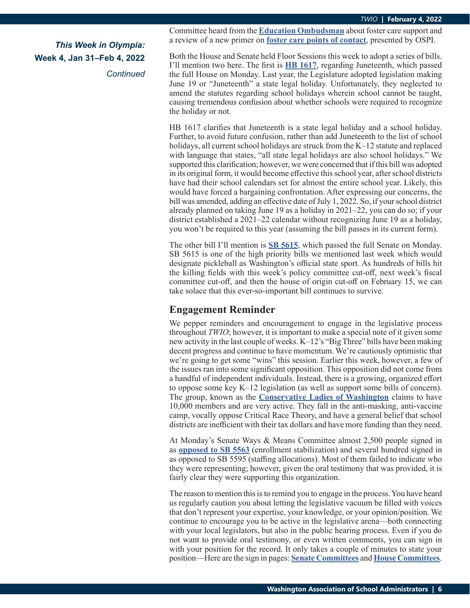*Continued*

Committee heard from the **[Education Ombudsman](https://app.leg.wa.gov/committeeschedules/Home/Document/240918#toolbar=0&navpanes=0)** about foster care support and a review of a new primer on **[foster care points of contact](https://app.leg.wa.gov/committeeschedules/Home/Document/241042#toolbar=0&navpanes=0)**, presented by OSPI.

Both the House and Senate held Floor Sessions this week to adopt a series of bills. I'll mention two here. The first is **[HB 1617](https://app.leg.wa.gov/billsummary?BillNumber=1617&Initiative=false&Year=2021)**, regarding Juneteenth, which passed the full House on Monday. Last year, the Legislature adopted legislation making June 19 or "Juneteenth" a state legal holiday. Unfortunately, they neglected to amend the statutes regarding school holidays wherein school cannot be taught, causing tremendous confusion about whether schools were required to recognize the holiday or not.

HB 1617 clarifies that Juneteenth is a state legal holiday and a school holiday. Further, to avoid future confusion, rather than add Juneteenth to the list of school holidays, all current school holidays are struck from the K–12 statute and replaced with language that states, "all state legal holidays are also school holidays." We supported this clarification; however, we were concerned that if this bill was adopted in its original form, it would become effective this school year, after school districts have had their school calendars set for almost the entire school year. Likely, this would have forced a bargaining confrontation. After expressing our concerns, the bill was amended, adding an effective date of July 1, 2022. So, if your school district already planned on taking June 19 as a holiday in 2021–22, you can do so; if your district established a 2021–22 calendar without recognizing June 19 as a holiday, you won't be required to this year (assuming the bill passes in its current form).

The other bill I'll mention is **[SB 5615](https://app.leg.wa.gov/billsummary?BillNumber=5615&Initiative=false&Year=2021)**, which passed the full Senate on Monday. SB 5615 is one of the high priority bills we mentioned last week which would designate pickleball as Washington's official state sport. As hundreds of bills hit the killing fields with this week's policy committee cut-off, next week's fiscal committee cut-off, and then the house of origin cut-off on February 15, we can take solace that this ever-so-important bill continues to survive.

### **Engagement Reminder**

We pepper reminders and encouragement to engage in the legislative process throughout *TWIO*; however, it is important to make a special note of it given some new activity in the last couple of weeks. K–12's "Big Three" bills have been making decent progress and continue to have momentum. We're cautiously optimistic that we're going to get some "wins" this session. Earlier this week, however, a few of the issues ran into some significant opposition. This opposition did not come from a handful of independent individuals. Instead, there is a growing, organized effort to oppose some key K–12 legislation (as well as support some bills of concern). The group, known as the **[Conservative Ladies of Washington](https://conservativeladiesofwa.com/)** claims to have 10,000 members and are very active. They fall in the anti-masking, anti-vaccine camp, vocally oppose Critical Race Theory, and have a general belief that school districts are inefficient with their tax dollars and have more funding than they need.

At Monday's Senate Ways & Means Committee almost 2,500 people signed in as **[opposed to SB 5563](https://conservativeladiesofwa.com/call-to-action-say-no-to-funding-empty-student-seats-in-public-schools/)** (enrollment stabilization) and several hundred signed in as opposed to SB 5595 (staffing allocations). Most of them failed to indicate who they were representing; however, given the oral testimony that was provided, it is fairly clear they were supporting this organization.

The reason to mention this is to remind you to engage in the process. You have heard us regularly caution you about letting the legislative vacuum be filled with voices that don't represent your expertise, your knowledge, or your opinion/position. We continue to encourage you to be active in the legislative arena—both connecting with your local legislators, but also in the public hearing process. Even if you do not want to provide oral testimony, or even written comments, you can sign in with your position for the record. It only takes a couple of minutes to state your position—Here are the sign in pages: **[Senate Committees](https://app.leg.wa.gov/CSI/Senate)** and **[House Committees](https://app.leg.wa.gov/csi/house)**.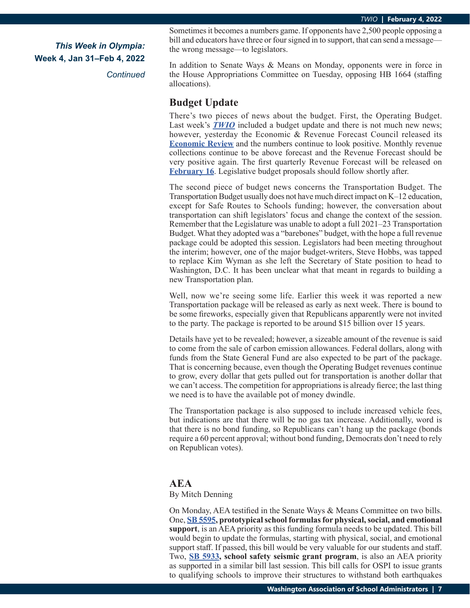*Continued*

Sometimes it becomes a numbers game. If opponents have 2,500 people opposing a bill and educators have three or four signed in to support, that can send a message the wrong message—to legislators.

In addition to Senate Ways & Means on Monday, opponents were in force in the House Appropriations Committee on Tuesday, opposing HB 1664 (staffing allocations).

### **Budget Update**

There's two pieces of news about the budget. First, the Operating Budget. Last week's **[TWIO](https://wasa-oly.org/WASA/images/WASA/4.0 Government Relations/4.4.1 This Week In Olympia - TWIO/Download_Files/TWIO 2022/Week 3 TWIO.pdf)** included a budget update and there is not much new news; however, yesterday the Economic & Revenue Forecast Council released its **[Economic Review](https://erfc.wa.gov/sites/default/files/public/documents/meetings/ec20220203.pdf)** and the numbers continue to look positive. Monthly revenue collections continue to be above forecast and the Revenue Forecast should be very positive again. The first quarterly Revenue Forecast will be released on **[February 16](https://erfc.wa.gov/sites/default/files/public/documents/meetings/02.16.22 Revenue Review Zoom information.pdf)**. Legislative budget proposals should follow shortly after.

The second piece of budget news concerns the Transportation Budget. The Transportation Budget usually does not have much direct impact on K–12 education, except for Safe Routes to Schools funding; however, the conversation about transportation can shift legislators' focus and change the context of the session. Remember that the Legislature was unable to adopt a full 2021–23 Transportation Budget. What they adopted was a "barebones" budget, with the hope a full revenue package could be adopted this session. Legislators had been meeting throughout the interim; however, one of the major budget-writers, Steve Hobbs, was tapped to replace Kim Wyman as she left the Secretary of State position to head to Washington, D.C. It has been unclear what that meant in regards to building a new Transportation plan.

Well, now we're seeing some life. Earlier this week it was reported a new Transportation package will be released as early as next week. There is bound to be some fireworks, especially given that Republicans apparently were not invited to the party. The package is reported to be around \$15 billion over 15 years.

Details have yet to be revealed; however, a sizeable amount of the revenue is said to come from the sale of carbon emission allowances. Federal dollars, along with funds from the State General Fund are also expected to be part of the package. That is concerning because, even though the Operating Budget revenues continue to grow, every dollar that gets pulled out for transportation is another dollar that we can't access. The competition for appropriations is already fierce; the last thing we need is to have the available pot of money dwindle.

The Transportation package is also supposed to include increased vehicle fees, but indications are that there will be no gas tax increase. Additionally, word is that there is no bond funding, so Republicans can't hang up the package (bonds require a 60 percent approval; without bond funding, Democrats don't need to rely on Republican votes).

### **AEA**

#### By Mitch Denning

On Monday, AEA testified in the Senate Ways & Means Committee on two bills. One, **[SB 5595](https://app.leg.wa.gov/billsummary?BillNumber=5595&Initiative=false&Year=2021), prototypical school formulas for physical, social, and emotional support**, is an AEA priority as this funding formula needs to be updated. This bill would begin to update the formulas, starting with physical, social, and emotional support staff. If passed, this bill would be very valuable for our students and staff. Two, **[SB 5933,](https://app.leg.wa.gov/billsummary?BillNumber=5933&Initiative=false&Year=2021) school safety seismic grant program**, is also an AEA priority as supported in a similar bill last session. This bill calls for OSPI to issue grants to qualifying schools to improve their structures to withstand both earthquakes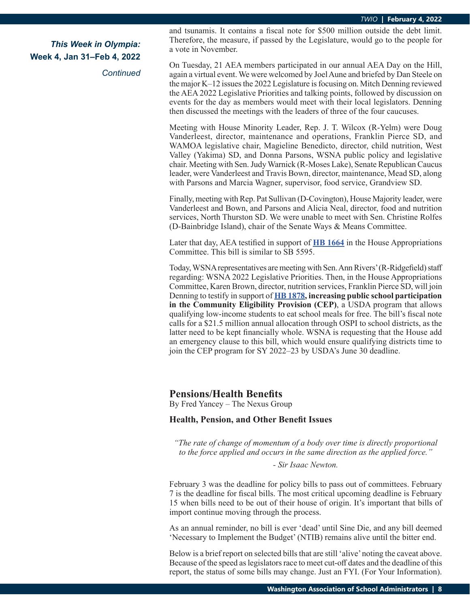*Continued*

and tsunamis. It contains a fiscal note for \$500 million outside the debt limit. Therefore, the measure, if passed by the Legislature, would go to the people for a vote in November.

On Tuesday, 21 AEA members participated in our annual AEA Day on the Hill, again a virtual event. We were welcomed by Joel Aune and briefed by Dan Steele on the major K–12 issues the 2022 Legislature is focusing on. Mitch Denning reviewed the AEA 2022 Legislative Priorities and talking points, followed by discussion on events for the day as members would meet with their local legislators. Denning then discussed the meetings with the leaders of three of the four caucuses.

Meeting with House Minority Leader, Rep. J. T. Wilcox (R-Yelm) were Doug Vanderleest, director, maintenance and operations, Franklin Pierce SD, and WAMOA legislative chair, Magieline Benedicto, director, child nutrition, West Valley (Yakima) SD, and Donna Parsons, WSNA public policy and legislative chair. Meeting with Sen. Judy Warnick (R-Moses Lake), Senate Republican Caucus leader, were Vanderleest and Travis Bown, director, maintenance, Mead SD, along with Parsons and Marcia Wagner, supervisor, food service, Grandview SD.

Finally, meeting with Rep. Pat Sullivan (D-Covington), House Majority leader, were Vanderleest and Bown, and Parsons and Alicia Neal, director, food and nutrition services, North Thurston SD. We were unable to meet with Sen. Christine Rolfes (D-Bainbridge Island), chair of the Senate Ways & Means Committee.

Later that day, AEA testified in support of **[HB 1664](https://app.leg.wa.gov/billsummary?BillNumber=1664&Initiative=false&Year=2021)** in the House Appropriations Committee. This bill is similar to SB 5595.

Today, WSNA representatives are meeting with Sen. Ann Rivers' (R-Ridgefield) staff regarding: WSNA 2022 Legislative Priorities. Then, in the House Appropriations Committee, Karen Brown, director, nutrition services, Franklin Pierce SD, will join Denning to testify in support of **[HB 1878](https://app.leg.wa.gov/billsummary?BillNumber=1878&Initiative=false&Year=2021), increasing public school participation in the Community Eligibility Provision (CEP)**, a USDA program that allows qualifying low-income students to eat school meals for free. The bill's fiscal note calls for a \$21.5 million annual allocation through OSPI to school districts, as the latter need to be kept financially whole. WSNA is requesting that the House add an emergency clause to this bill, which would ensure qualifying districts time to join the CEP program for SY 2022–23 by USDA's June 30 deadline.

### **Pensions/Health Benefits**

By Fred Yancey – The Nexus Group

#### **Health, Pension, and Other Benefit Issues**

*"The rate of change of momentum of a body over time is directly proportional to the force applied and occurs in the same direction as the applied force."*

#### *- Sir Isaac Newton.*

February 3 was the deadline for policy bills to pass out of committees. February 7 is the deadline for fiscal bills. The most critical upcoming deadline is February 15 when bills need to be out of their house of origin. It's important that bills of import continue moving through the process.

As an annual reminder, no bill is ever 'dead' until Sine Die, and any bill deemed 'Necessary to Implement the Budget' (NTIB) remains alive until the bitter end.

Below is a brief report on selected bills that are still 'alive' noting the caveat above. Because of the speed as legislators race to meet cut-off dates and the deadline of this report, the status of some bills may change. Just an FYI. (For Your Information).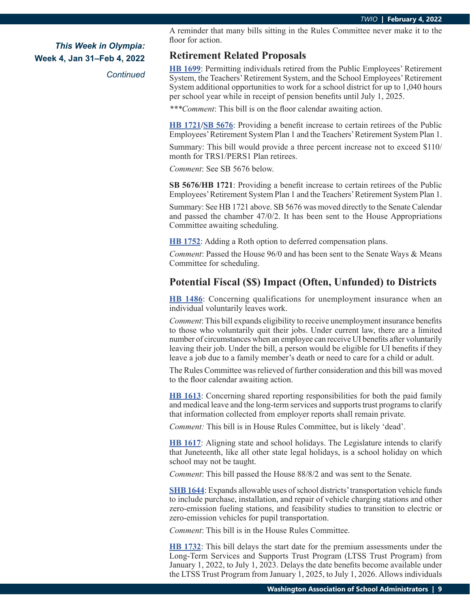*Continued*

A reminder that many bills sitting in the Rules Committee never make it to the floor for action.

### **Retirement Related Proposals**

**[HB 1699](https://app.leg.wa.gov/billsummary?BillNumber=1699&Initiative=false&Year=2021)**: Permitting individuals retired from the Public Employees' Retirement System, the Teachers' Retirement System, and the School Employees' Retirement System additional opportunities to work for a school district for up to 1,040 hours per school year while in receipt of pension benefits until July 1, 2025.

*\*\*\*Comment*: This bill is on the floor calendar awaiting action.

**[HB 1721/](https://app.leg.wa.gov/billsummary?BillNumber=1721&Initiative=false&Year=2021)[SB 5676](https://app.leg.wa.gov/billsummary?BillNumber=5676&Initiative=false&Year=2021)**: Providing a benefit increase to certain retirees of the Public Employees' Retirement System Plan 1 and the Teachers' Retirement System Plan 1.

Summary: This bill would provide a three percent increase not to exceed \$110/ month for TRS1/PERS1 Plan retirees.

*Comment*: See SB 5676 below.

**SB 5676/HB 1721**: Providing a benefit increase to certain retirees of the Public Employees' Retirement System Plan 1 and the Teachers' Retirement System Plan 1.

Summary: See HB 1721 above. SB 5676 was moved directly to the Senate Calendar and passed the chamber 47/0/2. It has been sent to the House Appropriations Committee awaiting scheduling.

**[HB 1752](https://app.leg.wa.gov/billsummary?BillNumber=1752&Initiative=false&Year=2021)**: Adding a Roth option to deferred compensation plans.

*Comment*: Passed the House 96/0 and has been sent to the Senate Ways & Means Committee for scheduling.

### **Potential Fiscal (\$\$) Impact (Often, Unfunded) to Districts**

**[HB 1486](https://app.leg.wa.gov/billsummary?BillNumber=1486&Initiative=false&Year=2021)**: Concerning qualifications for unemployment insurance when an individual voluntarily leaves work.

*Comment*: This bill expands eligibility to receive unemployment insurance benefits to those who voluntarily quit their jobs. Under current law, there are a limited number of circumstances when an employee can receive UI benefits after voluntarily leaving their job. Under the bill, a person would be eligible for UI benefits if they leave a job due to a family member's death or need to care for a child or adult.

The Rules Committee was relieved of further consideration and this bill was moved to the floor calendar awaiting action.

**[HB 1613](https://app.leg.wa.gov/billsummary?BillNumber=1613&Initiative=false&Year=2021)**: Concerning shared reporting responsibilities for both the paid family and medical leave and the long-term services and supports trust programs to clarify that information collected from employer reports shall remain private.

*Comment:* This bill is in House Rules Committee, but is likely 'dead'.

**[HB 1617](https://app.leg.wa.gov/billsummary?BillNumber=1617&Initiative=false&Year=2021)**: Aligning state and school holidays. The Legislature intends to clarify that Juneteenth, like all other state legal holidays, is a school holiday on which school may not be taught.

*Comment*: This bill passed the House 88/8/2 and was sent to the Senate.

**[SHB 1644](https://app.leg.wa.gov/billsummary?BillNumber=1644&Initiative=false&Year=2021)**: Expands allowable uses of school districts' transportation vehicle funds to include purchase, installation, and repair of vehicle charging stations and other zero-emission fueling stations, and feasibility studies to transition to electric or zero-emission vehicles for pupil transportation.

*Comment*: This bill is in the House Rules Committee.

**[HB 1732](https://app.leg.wa.gov/billsummary?BillNumber=1732&Initiative=false&Year=2021)**: This bill delays the start date for the premium assessments under the Long-Term Services and Supports Trust Program (LTSS Trust Program) from January 1, 2022, to July 1, 2023. Delays the date benefits become available under the LTSS Trust Program from January 1, 2025, to July 1, 2026. Allows individuals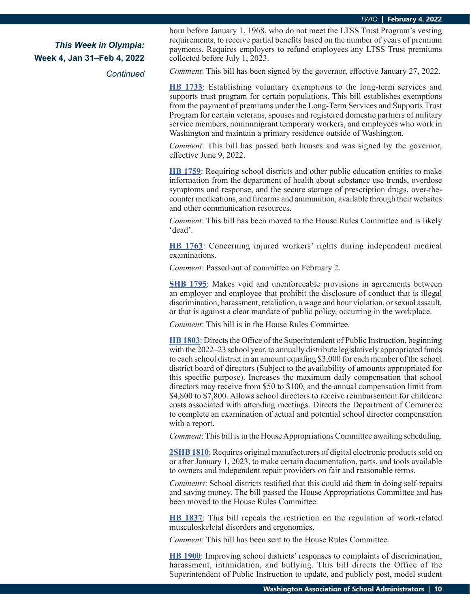*Continued*

born before January 1, 1968, who do not meet the LTSS Trust Program's vesting requirements, to receive partial benefits based on the number of years of premium payments. Requires employers to refund employees any LTSS Trust premiums collected before July 1, 2023.

*Comment*: This bill has been signed by the governor, effective January 27, 2022.

**[HB 1733](https://app.leg.wa.gov/billsummary?BillNumber=1733&Initiative=false&Year=2021)**: Establishing voluntary exemptions to the long-term services and supports trust program for certain populations. This bill establishes exemptions from the payment of premiums under the Long-Term Services and Supports Trust Program for certain veterans, spouses and registered domestic partners of military service members, nonimmigrant temporary workers, and employees who work in Washington and maintain a primary residence outside of Washington.

*Comment*: This bill has passed both houses and was signed by the governor, effective June 9, 2022.

**[HB 1759](https://app.leg.wa.gov/billsummary?BillNumber=1759&Initiative=false&Year=2021)**: Requiring school districts and other public education entities to make information from the department of health about substance use trends, overdose symptoms and response, and the secure storage of prescription drugs, over-thecounter medications, and firearms and ammunition, available through their websites and other communication resources.

*Comment*: This bill has been moved to the House Rules Committee and is likely 'dead'.

**[HB 1763](https://app.leg.wa.gov/billsummary?BillNumber=1763&Initiative=false&Year=2021)**: Concerning injured workers' rights during independent medical examinations.

*Comment*: Passed out of committee on February 2.

**[SHB 1795](https://app.leg.wa.gov/billsummary?BillNumber=1795&Initiative=false&Year=2021)**: Makes void and unenforceable provisions in agreements between an employer and employee that prohibit the disclosure of conduct that is illegal discrimination, harassment, retaliation, a wage and hour violation, or sexual assault, or that is against a clear mandate of public policy, occurring in the workplace.

*Comment*: This bill is in the House Rules Committee.

**[HB 1803](https://app.leg.wa.gov/billsummary?BillNumber=1803&Initiative=false&Year=2021)**: Directs the Office of the Superintendent of Public Instruction, beginning with the 2022–23 school year, to annually distribute legislatively appropriated funds to each school district in an amount equaling \$3,000 for each member of the school district board of directors (Subject to the availability of amounts appropriated for this specific purpose). Increases the maximum daily compensation that school directors may receive from \$50 to \$100, and the annual compensation limit from \$4,800 to \$7,800. Allows school directors to receive reimbursement for childcare costs associated with attending meetings. Directs the Department of Commerce to complete an examination of actual and potential school director compensation with a report.

*Comment*: This bill is in the House Appropriations Committee awaiting scheduling.

**[2SHB 1810](https://app.leg.wa.gov/billsummary?BillNumber=1810&Initiative=false&Year=2021)**: Requires original manufacturers of digital electronic products sold on or after January 1, 2023, to make certain documentation, parts, and tools available to owners and independent repair providers on fair and reasonable terms.

*Comments*: School districts testified that this could aid them in doing self-repairs and saving money. The bill passed the House Appropriations Committee and has been moved to the House Rules Committee.

**[HB 1837](https://app.leg.wa.gov/billsummary?BillNumber=1837&Initiative=false&Year=2021)**: This bill repeals the restriction on the regulation of work-related musculoskeletal disorders and ergonomics.

*Comment*: This bill has been sent to the House Rules Committee.

**[HB 1900](https://app.leg.wa.gov/billsummary?BillNumber=1900&Initiative=false&Year=2021)**: Improving school districts' responses to complaints of discrimination, harassment, intimidation, and bullying. This bill directs the Office of the Superintendent of Public Instruction to update, and publicly post, model student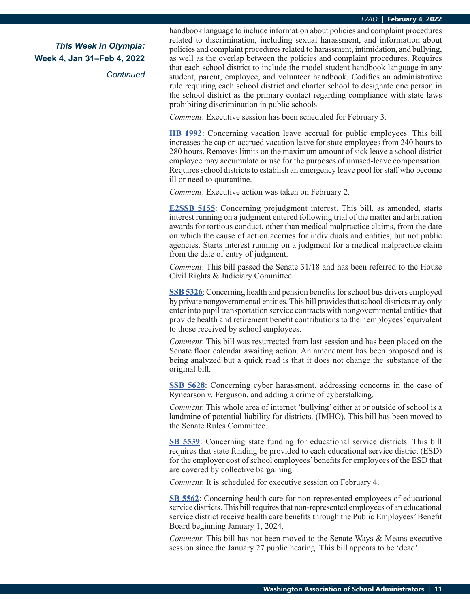*Continued*

handbook language to include information about policies and complaint procedures related to discrimination, including sexual harassment, and information about policies and complaint procedures related to harassment, intimidation, and bullying, as well as the overlap between the policies and complaint procedures. Requires that each school district to include the model student handbook language in any student, parent, employee, and volunteer handbook. Codifies an administrative rule requiring each school district and charter school to designate one person in the school district as the primary contact regarding compliance with state laws prohibiting discrimination in public schools.

*Comment*: Executive session has been scheduled for February 3.

**[HB 1992](https://app.leg.wa.gov/billsummary?BillNumber=1992&Initiative=false&Year=2021)**: Concerning vacation leave accrual for public employees. This bill increases the cap on accrued vacation leave for state employees from 240 hours to 280 hours. Removes limits on the maximum amount of sick leave a school district employee may accumulate or use for the purposes of unused-leave compensation. Requires school districts to establish an emergency leave pool for staff who become ill or need to quarantine.

*Comment*: Executive action was taken on February 2.

**[E2SSB 5155](https://app.leg.wa.gov/billsummary?BillNumber=5155&Initiative=false&Year=2021)**: Concerning prejudgment interest. This bill, as amended, starts interest running on a judgment entered following trial of the matter and arbitration awards for tortious conduct, other than medical malpractice claims, from the date on which the cause of action accrues for individuals and entities, but not public agencies. Starts interest running on a judgment for a medical malpractice claim from the date of entry of judgment.

*Comment*: This bill passed the Senate 31/18 and has been referred to the House Civil Rights & Judiciary Committee.

**[SSB 5326](https://app.leg.wa.gov/billsummary?BillNumber=5326&Initiative=false&Year=2021)**: Concerning health and pension benefits for school bus drivers employed by private nongovernmental entities. This bill provides that school districts may only enter into pupil transportation service contracts with nongovernmental entities that provide health and retirement benefit contributions to their employees' equivalent to those received by school employees.

*Comment*: This bill was resurrected from last session and has been placed on the Senate floor calendar awaiting action. An amendment has been proposed and is being analyzed but a quick read is that it does not change the substance of the original bill.

**[SSB 5628](https://app.leg.wa.gov/billsummary?BillNumber=5628&Initiative=false&Year=2021)**: Concerning cyber harassment, addressing concerns in the case of Rynearson v. Ferguson, and adding a crime of cyberstalking.

*Comment*: This whole area of internet 'bullying' either at or outside of school is a landmine of potential liability for districts. (IMHO). This bill has been moved to the Senate Rules Committee.

**[SB 5539](https://app.leg.wa.gov/billsummary?BillNumber=5539&Initiative=false&Year=2021)**: Concerning state funding for educational service districts. This bill requires that state funding be provided to each educational service district (ESD) for the employer cost of school employees' benefits for employees of the ESD that are covered by collective bargaining.

*Comment*: It is scheduled for executive session on February 4.

**[SB 5562](https://app.leg.wa.gov/billsummary?BillNumber=5562&Initiative=false&Year=2021)**: Concerning health care for non-represented employees of educational service districts. This bill requires that non-represented employees of an educational service district receive health care benefits through the Public Employees' Benefit Board beginning January 1, 2024.

*Comment*: This bill has not been moved to the Senate Ways & Means executive session since the January 27 public hearing. This bill appears to be 'dead'.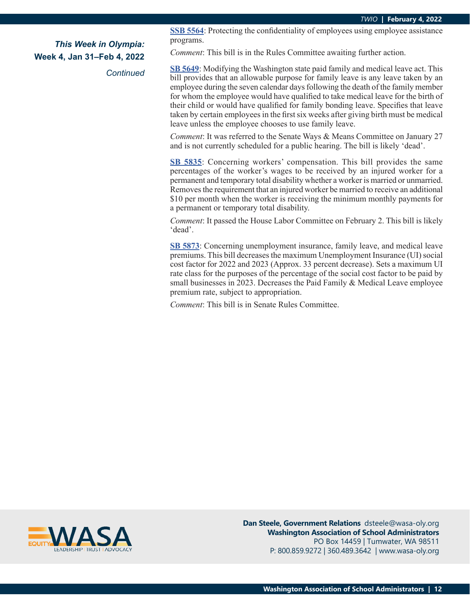*Continued*

**[SSB 5564](https://app.leg.wa.gov/billsummary?BillNumber=5564&Initiative=false&Year=2021)**: Protecting the confidentiality of employees using employee assistance programs.

*Comment*: This bill is in the Rules Committee awaiting further action.

**[SB 5649](https://app.leg.wa.gov/billsummary?BillNumber=5649&Initiative=false&Year=2021)**: Modifying the Washington state paid family and medical leave act. This bill provides that an allowable purpose for family leave is any leave taken by an employee during the seven calendar days following the death of the family member for whom the employee would have qualified to take medical leave for the birth of their child or would have qualified for family bonding leave. Specifies that leave taken by certain employees in the first six weeks after giving birth must be medical leave unless the employee chooses to use family leave.

*Comment*: It was referred to the Senate Ways & Means Committee on January 27 and is not currently scheduled for a public hearing. The bill is likely 'dead'.

**[SB 5835](https://app.leg.wa.gov/billsummary?BillNumber=5835&Initiative=false&Year=2021)**: Concerning workers' compensation. This bill provides the same percentages of the worker's wages to be received by an injured worker for a permanent and temporary total disability whether a worker is married or unmarried. Removes the requirement that an injured worker be married to receive an additional \$10 per month when the worker is receiving the minimum monthly payments for a permanent or temporary total disability.

*Comment*: It passed the House Labor Committee on February 2. This bill is likely 'dead'.

**[SB 5873](https://app.leg.wa.gov/billsummary?BillNumber=5873&Initiative=false&Year=2021)**: Concerning unemployment insurance, family leave, and medical leave premiums. This bill decreases the maximum Unemployment Insurance (UI) social cost factor for 2022 and 2023 (Approx. 33 percent decrease). Sets a maximum UI rate class for the purposes of the percentage of the social cost factor to be paid by small businesses in 2023. Decreases the Paid Family & Medical Leave employee premium rate, subject to appropriation.

*Comment*: This bill is in Senate Rules Committee.



**Dan Steele, Government Relations** dsteele@wasa-oly.org **Washington Association of School Administrators** PO Box 14459 | Tumwater, WA 98511 P: 800.859.9272 | 360.489.3642 | www.wasa-oly.org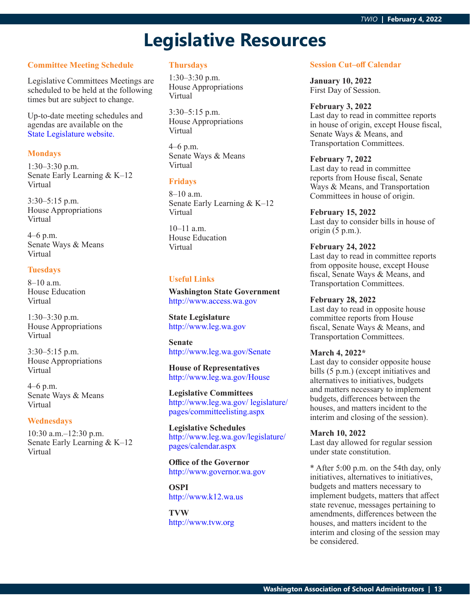# **Legislative Resources**

#### **Committee Meeting Schedule**

Legislative Committees Meetings are scheduled to be held at the following times but are subject to change.

Up-to-date meeting schedules and agendas are available on the [State Legislature website.](http://www.leg.wa.gov/legislature/pages/calendar.aspx)

#### **Mondays**

1:30–3:30 p.m. Senate Early Learning & K–12 Virtual

3:30–5:15 p.m. House Appropriations Virtual

4–6 p.m. Senate Ways & Means Virtual

#### **Tuesdays**

8–10 a.m. House Education Virtual

1:30–3:30 p.m. House Appropriations Virtual

3:30–5:15 p.m. House Appropriations Virtual

4–6 p.m. Senate Ways & Means Virtual

#### **Wednesdays**

10:30 a.m.–12:30 p.m. Senate Early Learning & K–12 Virtual

#### **Thursdays**

1:30–3:30 p.m. House Appropriations Virtual

3:30–5:15 p.m. House Appropriations Virtual

4–6 p.m. Senate Ways & Means Virtual

#### **Fridays**

8–10 a.m. Senate Early Learning & K–12 Virtual

10–11 a.m. House Education Virtual

#### **Useful Links**

**Washington State Government** <http://www.access.wa.gov>

**State Legislature** <http://www.leg.wa.gov>

**Senate** <http://www.leg.wa.gov/Senate>

**House of Representatives** <http://www.leg.wa.gov/House>

**Legislative Committees** [http://www.leg.wa.gov/ legislature/](http://www.leg.wa.gov/ legislature/pages/committeelisting.aspx) [pages/committeelisting.aspx](http://www.leg.wa.gov/ legislature/pages/committeelisting.aspx)

**Legislative Schedules** [http://www.leg.wa.gov/legislature/](http://www.leg.wa.gov/legislature/pages/calendar.aspx) [pages/calendar.aspx](http://www.leg.wa.gov/legislature/pages/calendar.aspx)

**Office of the Governor** <http://www.governor.wa.gov>

**OSPI** <http://www.k12.wa.us>

**TVW** <http://www.tvw.org>

#### **Session Cut–off Calendar**

**January 10, 2022** First Day of Session.

#### **February 3, 2022**

Last day to read in committee reports in house of origin, except House fiscal, Senate Ways & Means, and Transportation Committees.

#### **February 7, 2022**

Last day to read in committee reports from House fiscal, Senate Ways & Means, and Transportation Committees in house of origin.

### **February 15, 2022**

Last day to consider bills in house of origin (5 p.m.).

#### **February 24, 2022**

Last day to read in committee reports from opposite house, except House fiscal, Senate Ways & Means, and Transportation Committees.

#### **February 28, 2022**

Last day to read in opposite house committee reports from House fiscal, Senate Ways & Means, and Transportation Committees.

#### **March 4, 2022\***

Last day to consider opposite house bills (5 p.m.) (except initiatives and alternatives to initiatives, budgets and matters necessary to implement budgets, differences between the houses, and matters incident to the interim and closing of the session).

#### **March 10, 2022**

Last day allowed for regular session under state constitution.

\* After 5:00 p.m. on the 54th day, only initiatives, alternatives to initiatives, budgets and matters necessary to implement budgets, matters that affect state revenue, messages pertaining to amendments, differences between the houses, and matters incident to the interim and closing of the session may be considered.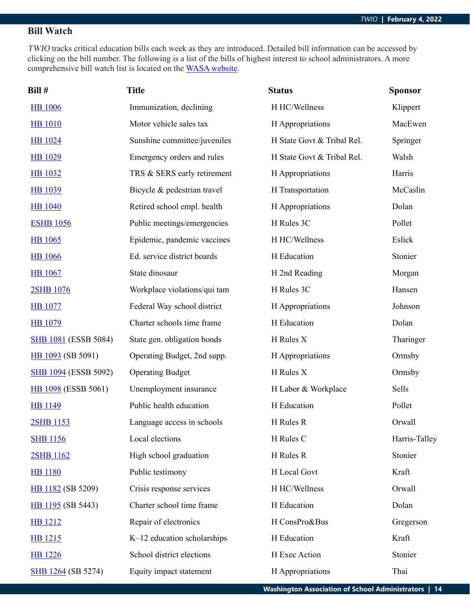### **Bill Watch**

TWIO tracks critical education bills each week as they are introduced. Detailed bill information can be accessed by clicking on the bill number. The following is a list of the bills of highest interest to school administrators. A more comprehensive bill watch list is located on the [WASA website](http://wasa-oly.org/wasa/WASA/Government_Relations/Action_Center/2019_WASA_Bill_Watch/WASA/4_0_Government_Relations/Materials/Bill_Watch/Bill_Watch.aspx?hkey=eee1bb39-a099-43b7-8a1b-1262f2966f1a).

| Bill #                      | <b>Title</b>                 | <b>Status</b>              | <b>Sponsor</b> |
|-----------------------------|------------------------------|----------------------------|----------------|
| <b>HB</b> 1006              | Immunization, declining      | H HC/Wellness              | Klippert       |
| <b>HB</b> 1010              | Motor vehicle sales tax      | H Appropriations           | MacEwen        |
| <b>HB</b> 1024              | Sunshine committee/juveniles | H State Govt & Tribal Rel. | Springer       |
| <b>HB</b> 1029              | Emergency orders and rules   | H State Govt & Tribal Rel. | Walsh          |
| <b>HB</b> 1032              | TRS & SERS early retirement  | H Appropriations           | Harris         |
| <b>HB</b> 1039              | Bicycle & pedestrian travel  | H Transportation           | McCaslin       |
| <b>HB</b> 1040              | Retired school empl. health  | H Appropriations           | Dolan          |
| <b>ESHB 1056</b>            | Public meetings/emergencies  | H Rules 3C                 | Pollet         |
| <b>HB</b> 1065              | Epidemic, pandemic vaccines  | H HC/Wellness              | Eslick         |
| <b>HB</b> 1066              | Ed. service district boards  | H Education                | Stonier        |
| <b>HB</b> 1067              | State dinosaur               | H 2nd Reading              | Morgan         |
| 2SHB 1076                   | Workplace violations/qui tam | H Rules 3C                 | Hansen         |
| <b>HB</b> 1077              | Federal Way school district  | H Appropriations           | Johnson        |
| <b>HB</b> 1079              | Charter schools time frame   | H Education                | Dolan          |
| <b>SHB 1081</b> (ESSB 5084) | State gen. obligation bonds  | H Rules X                  | Tharinger      |
| HB 1093 (SB 5091)           | Operating Budget, 2nd supp.  | H Appropriations           | Ormsby         |
| <b>SHB 1094</b> (ESSB 5092) | <b>Operating Budget</b>      | H Rules X                  | Ormsby         |
| <b>HB</b> 1098 (ESSB 5061)  | Unemployment insurance       | H Labor & Workplace        | Sells          |
| <b>HB</b> 1149              | Public health education      | H Education                | Pollet         |
| 2SHB 1153                   | Language access in schools   | H Rules R                  | Orwall         |
| <b>SHB 1156</b>             | Local elections              | H Rules C                  | Harris-Talley  |
| 2SHB 1162                   | High school graduation       | H Rules R                  | Stonier        |
| <b>HB</b> 1180              | Public testimony             | H Local Govt               | Kraft          |
| HB 1182 (SB 5209)           | Crisis response services     | H HC/Wellness              | Orwall         |
| HB 1195 (SB 5443)           | Charter school time frame    | H Education                | Dolan          |
| <b>HB</b> 1212              | Repair of electronics        | H ConsPro&Bus              | Gregerson      |
| HB 1215                     | K-12 education scholarships  | H Education                | Kraft          |
| <b>HB</b> 1226              | School district elections    | H Exec Action              | Stonier        |
| SHB 1264 (SB 5274)          | Equity impact statement      | H Appropriations           | Thai           |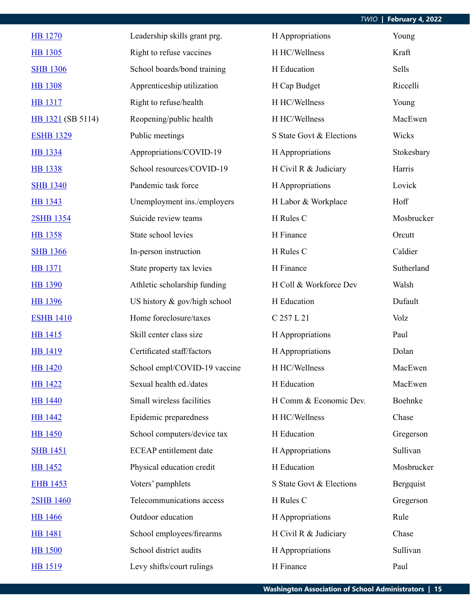| <b>HB</b> 1270    | Leadership skills grant prg.  | H Appropriations         | Young      |
|-------------------|-------------------------------|--------------------------|------------|
| <b>HB</b> 1305    | Right to refuse vaccines      | H HC/Wellness            | Kraft      |
| <b>SHB 1306</b>   | School boards/bond training   | H Education              | Sells      |
| <b>HB</b> 1308    | Apprenticeship utilization    | H Cap Budget             | Riccelli   |
| <b>HB</b> 1317    | Right to refuse/health        | H HC/Wellness            | Young      |
| HB 1321 (SB 5114) | Reopening/public health       | H HC/Wellness            | MacEwen    |
| <b>ESHB 1329</b>  | Public meetings               | S State Govt & Elections | Wicks      |
| <b>HB</b> 1334    | Appropriations/COVID-19       | H Appropriations         | Stokesbary |
| <b>HB</b> 1338    | School resources/COVID-19     | H Civil R & Judiciary    | Harris     |
| <b>SHB 1340</b>   | Pandemic task force           | H Appropriations         | Lovick     |
| HB 1343           | Unemployment ins./employers   | H Labor & Workplace      | Hoff       |
| 2SHB 1354         | Suicide review teams          | H Rules C                | Mosbrucker |
| <b>HB</b> 1358    | State school levies           | H Finance                | Orcutt     |
| <b>SHB 1366</b>   | In-person instruction         | H Rules C                | Caldier    |
| <b>HB</b> 1371    | State property tax levies     | H Finance                | Sutherland |
| <b>HB</b> 1390    | Athletic scholarship funding  | H Coll & Workforce Dev   | Walsh      |
| <b>HB</b> 1396    | US history & gov/high school  | H Education              | Dufault    |
| <b>ESHB 1410</b>  | Home foreclosure/taxes        | C 257 L 21               | Volz       |
| HB 1415           | Skill center class size       | H Appropriations         | Paul       |
| <b>HB</b> 1419    | Certificated staff/factors    | H Appropriations         | Dolan      |
| <b>HB</b> 1420    | School empl/COVID-19 vaccine  | H HC/Wellness            | MacEwen    |
| <b>HB</b> 1422    | Sexual health ed./dates       | H Education              | MacEwen    |
| <b>HB</b> 1440    | Small wireless facilities     | H Comm & Economic Dev.   | Boehnke    |
| <b>HB</b> 1442    | Epidemic preparedness         | H HC/Wellness            | Chase      |
| <b>HB</b> 1450    | School computers/device tax   | H Education              | Gregerson  |
| <b>SHB 1451</b>   | <b>ECEAP</b> entitlement date | H Appropriations         | Sullivan   |
| <b>HB 1452</b>    | Physical education credit     | H Education              | Mosbrucker |
| <b>EHB 1453</b>   | Voters' pamphlets             | S State Govt & Elections | Bergquist  |
| 2SHB 1460         | Telecommunications access     | H Rules C                | Gregerson  |
| <b>HB</b> 1466    | Outdoor education             | H Appropriations         | Rule       |
| <b>HB</b> 1481    | School employees/firearms     | H Civil R & Judiciary    | Chase      |
| <b>HB</b> 1500    | School district audits        | H Appropriations         | Sullivan   |
| HB 1519           | Levy shifts/court rulings     | H Finance                | Paul       |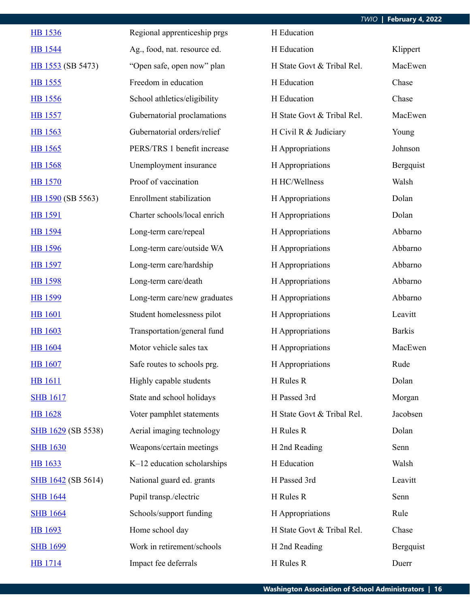| <b>HB</b> 1536            | Regional apprenticeship prgs | H Education                |               |
|---------------------------|------------------------------|----------------------------|---------------|
| <b>HB</b> 1544            | Ag., food, nat. resource ed. | H Education                | Klippert      |
| HB 1553 (SB 5473)         | "Open safe, open now" plan   | H State Govt & Tribal Rel. | MacEwen       |
| HB 1555                   | Freedom in education         | H Education                | Chase         |
| <b>HB</b> 1556            | School athletics/eligibility | H Education                | Chase         |
| <b>HB</b> 1557            | Gubernatorial proclamations  | H State Govt & Tribal Rel. | MacEwen       |
| HB 1563                   | Gubernatorial orders/relief  | H Civil R & Judiciary      | Young         |
| HB 1565                   | PERS/TRS 1 benefit increase  | H Appropriations           | Johnson       |
| <b>HB</b> 1568            | Unemployment insurance       | H Appropriations           | Bergquist     |
| <b>HB</b> 1570            | Proof of vaccination         | H HC/Wellness              | Walsh         |
| HB 1590 (SB 5563)         | Enrollment stabilization     | H Appropriations           | Dolan         |
| <b>HB</b> 1591            | Charter schools/local enrich | H Appropriations           | Dolan         |
| HB 1594                   | Long-term care/repeal        | H Appropriations           | Abbarno       |
| <b>HB</b> 1596            | Long-term care/outside WA    | H Appropriations           | Abbarno       |
| <b>HB 1597</b>            | Long-term care/hardship      | H Appropriations           | Abbarno       |
| HB 1598                   | Long-term care/death         | H Appropriations           | Abbarno       |
| <b>HB</b> 1599            | Long-term care/new graduates | H Appropriations           | Abbarno       |
| <b>HB</b> 1601            | Student homelessness pilot   | H Appropriations           | Leavitt       |
| <b>HB</b> 1603            | Transportation/general fund  | H Appropriations           | <b>Barkis</b> |
| <b>HB</b> 1604            | Motor vehicle sales tax      | H Appropriations           | MacEwen       |
| <b>HB</b> 1607            | Safe routes to schools prg.  | H Appropriations           | Rude          |
| <b>HB</b> 1611            | Highly capable students      | H Rules R                  | Dolan         |
| <b>SHB 1617</b>           | State and school holidays    | H Passed 3rd               | Morgan        |
| <b>HB</b> 1628            | Voter pamphlet statements    | H State Govt & Tribal Rel. | Jacobsen      |
| <b>SHB 1629 (SB 5538)</b> | Aerial imaging technology    | H Rules R                  | Dolan         |
| <b>SHB 1630</b>           | Weapons/certain meetings     | H 2nd Reading              | Senn          |
| <b>HB</b> 1633            | K-12 education scholarships  | H Education                | Walsh         |
| <b>SHB</b> 1642 (SB 5614) | National guard ed. grants    | H Passed 3rd               | Leavitt       |
| <b>SHB 1644</b>           | Pupil transp./electric       | H Rules R                  | Senn          |
| <b>SHB 1664</b>           | Schools/support funding      | H Appropriations           | Rule          |
| HB 1693                   | Home school day              | H State Govt & Tribal Rel. | Chase         |
| <b>SHB 1699</b>           | Work in retirement/schools   | H 2nd Reading              | Bergquist     |
| <b>HB</b> 1714            | Impact fee deferrals         | H Rules R                  | Duerr         |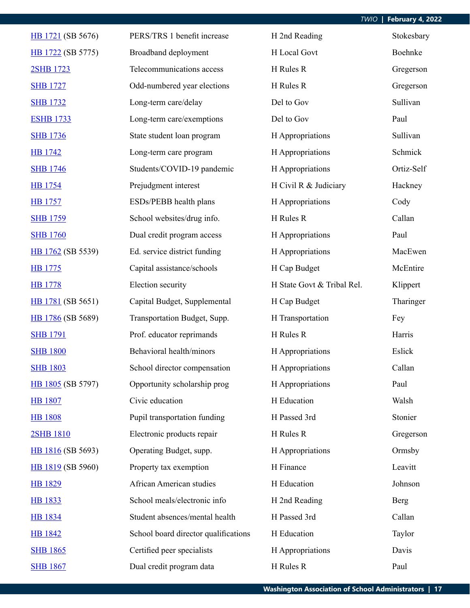| HB 1721 (SB 5676) | PERS/TRS 1 benefit increase          | H 2nd Reading              | Stokesbary |
|-------------------|--------------------------------------|----------------------------|------------|
| HB 1722 (SB 5775) | Broadband deployment                 | H Local Govt               | Boehnke    |
| 2SHB 1723         | Telecommunications access            | H Rules R                  | Gregerson  |
| <b>SHB 1727</b>   | Odd-numbered year elections          | H Rules R                  | Gregerson  |
| <b>SHB 1732</b>   | Long-term care/delay                 | Del to Gov                 | Sullivan   |
| <b>ESHB 1733</b>  | Long-term care/exemptions            | Del to Gov                 | Paul       |
| <b>SHB 1736</b>   | State student loan program           | H Appropriations           | Sullivan   |
| <b>HB</b> 1742    | Long-term care program               | H Appropriations           | Schmick    |
| <b>SHB 1746</b>   | Students/COVID-19 pandemic           | H Appropriations           | Ortiz-Self |
| <b>HB</b> 1754    | Prejudgment interest                 | H Civil R & Judiciary      | Hackney    |
| <b>HB</b> 1757    | ESDs/PEBB health plans               | H Appropriations           | Cody       |
| <b>SHB 1759</b>   | School websites/drug info.           | H Rules R                  | Callan     |
| <b>SHB 1760</b>   | Dual credit program access           | H Appropriations           | Paul       |
| HB 1762 (SB 5539) | Ed. service district funding         | H Appropriations           | MacEwen    |
| HB 1775           | Capital assistance/schools           | H Cap Budget               | McEntire   |
| <b>HB</b> 1778    | Election security                    | H State Govt & Tribal Rel. | Klippert   |
| HB 1781 (SB 5651) | Capital Budget, Supplemental         | H Cap Budget               | Tharinger  |
| HB 1786 (SB 5689) | Transportation Budget, Supp.         | H Transportation           | Fey        |
| <b>SHB 1791</b>   | Prof. educator reprimands            | H Rules R                  | Harris     |
| <b>SHB 1800</b>   | Behavioral health/minors             | H Appropriations           | Eslick     |
| <b>SHB 1803</b>   | School director compensation         | H Appropriations           | Callan     |
| HB 1805 (SB 5797) | Opportunity scholarship prog         | H Appropriations           | Paul       |
| <b>HB 1807</b>    | Civic education                      | H Education                | Walsh      |
| <b>HB 1808</b>    | Pupil transportation funding         | H Passed 3rd               | Stonier    |
| 2SHB 1810         | Electronic products repair           | H Rules R                  | Gregerson  |
| HB 1816 (SB 5693) | Operating Budget, supp.              | H Appropriations           | Ormsby     |
| HB 1819 (SB 5960) | Property tax exemption               | H Finance                  | Leavitt    |
| <b>HB 1829</b>    | African American studies             | H Education                | Johnson    |
| <b>HB</b> 1833    | School meals/electronic info         | H 2nd Reading              | Berg       |
| <b>HB</b> 1834    | Student absences/mental health       | H Passed 3rd               | Callan     |
| <b>HB</b> 1842    | School board director qualifications | H Education                | Taylor     |
| <b>SHB 1865</b>   | Certified peer specialists           | H Appropriations           | Davis      |
| <b>SHB 1867</b>   | Dual credit program data             | H Rules R                  | Paul       |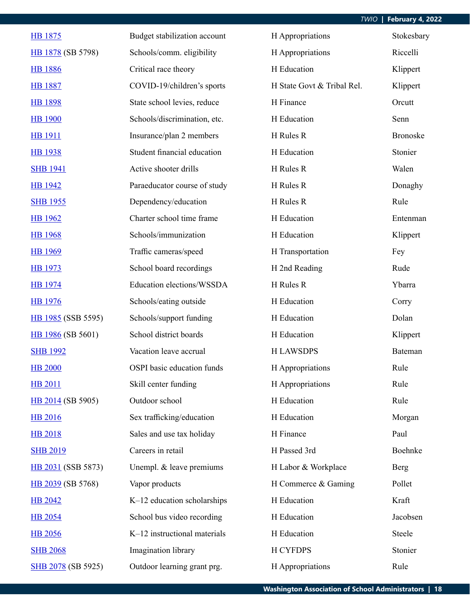| HB 1875            | Budget stabilization account | H Appropriations           | Stokesbary      |
|--------------------|------------------------------|----------------------------|-----------------|
| HB 1878 (SB 5798)  | Schools/comm. eligibility    | H Appropriations           | Riccelli        |
| <b>HB</b> 1886     | Critical race theory         | H Education                | Klippert        |
| <b>HB 1887</b>     | COVID-19/children's sports   | H State Govt & Tribal Rel. | Klippert        |
| <b>HB</b> 1898     | State school levies, reduce  | H Finance                  | Orcutt          |
| <b>HB</b> 1900     | Schools/discrimination, etc. | H Education                | Senn            |
| <b>HB</b> 1911     | Insurance/plan 2 members     | H Rules R                  | <b>Bronoske</b> |
| <b>HB</b> 1938     | Student financial education  | H Education                | Stonier         |
| <b>SHB 1941</b>    | Active shooter drills        | H Rules R                  | Walen           |
| <b>HB</b> 1942     | Paraeducator course of study | H Rules R                  | Donaghy         |
| <b>SHB 1955</b>    | Dependency/education         | H Rules R                  | Rule            |
| <b>HB</b> 1962     | Charter school time frame    | H Education                | Entenman        |
| <b>HB</b> 1968     | Schools/immunization         | H Education                | Klippert        |
| <b>HB</b> 1969     | Traffic cameras/speed        | H Transportation           | Fey             |
| HB 1973            | School board recordings      | H 2nd Reading              | Rude            |
| <b>HB</b> 1974     | Education elections/WSSDA    | H Rules R                  | Ybarra          |
| <b>HB</b> 1976     | Schools/eating outside       | H Education                | Corry           |
| HB 1985 (SSB 5595) | Schools/support funding      | H Education                | Dolan           |
| HB 1986 (SB 5601)  | School district boards       | H Education                | Klippert        |
| <b>SHB 1992</b>    | Vacation leave accrual       | <b>H LAWSDPS</b>           | Bateman         |
| <b>HB 2000</b>     | OSPI basic education funds   | H Appropriations           | Rule            |
| <b>HB 2011</b>     | Skill center funding         | H Appropriations           | Rule            |
| HB 2014 (SB 5905)  | Outdoor school               | H Education                | Rule            |
| <b>HB 2016</b>     | Sex trafficking/education    | H Education                | Morgan          |
| <b>HB 2018</b>     | Sales and use tax holiday    | H Finance                  | Paul            |
| <b>SHB 2019</b>    | Careers in retail            | H Passed 3rd               | Boehnke         |
| HB 2031 (SSB 5873) | Unempl. & leave premiums     | H Labor & Workplace        | <b>Berg</b>     |
| HB 2039 (SB 5768)  | Vapor products               | H Commerce & Gaming        | Pollet          |
| <b>HB 2042</b>     | K-12 education scholarships  | H Education                | Kraft           |
| <b>HB 2054</b>     | School bus video recording   | H Education                | Jacobsen        |
| <b>HB</b> 2056     | K-12 instructional materials | H Education                | Steele          |
| <b>SHB 2068</b>    | Imagination library          | <b>H CYFDPS</b>            | Stonier         |
| SHB 2078 (SB 5925) | Outdoor learning grant prg.  | H Appropriations           | Rule            |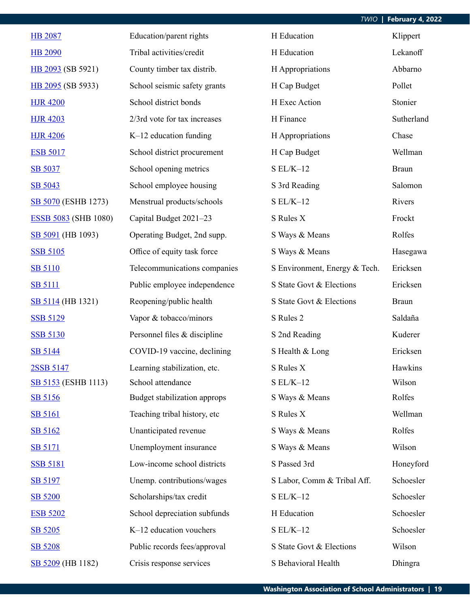| <b>HB 2087</b>              | Education/parent rights      | H Education                   | Klippert     |
|-----------------------------|------------------------------|-------------------------------|--------------|
| <b>HB 2090</b>              | Tribal activities/credit     | H Education                   | Lekanoff     |
| HB 2093 (SB 5921)           | County timber tax distrib.   | H Appropriations              | Abbarno      |
| HB 2095 (SB 5933)           | School seismic safety grants | H Cap Budget                  | Pollet       |
| <b>HJR 4200</b>             | School district bonds        | H Exec Action                 | Stonier      |
| <b>HJR 4203</b>             | 2/3rd vote for tax increases | H Finance                     | Sutherland   |
| <b>HJR 4206</b>             | $K-12$ education funding     | H Appropriations              | Chase        |
| <b>ESB 5017</b>             | School district procurement  | H Cap Budget                  | Wellman      |
| SB 5037                     | School opening metrics       | $SL/K-12$                     | <b>Braun</b> |
| SB 5043                     | School employee housing      | S 3rd Reading                 | Salomon      |
| SB 5070 (ESHB 1273)         | Menstrual products/schools   | $SL/K-12$                     | Rivers       |
| <b>ESSB 5083 (SHB 1080)</b> | Capital Budget 2021-23       | S Rules X                     | Frockt       |
| SB 5091 (HB 1093)           | Operating Budget, 2nd supp.  | S Ways & Means                | Rolfes       |
| <b>SSB 5105</b>             | Office of equity task force  | S Ways & Means                | Hasegawa     |
| <b>SB 5110</b>              | Telecommunications companies | S Environment, Energy & Tech. | Ericksen     |
| <b>SB 5111</b>              | Public employee independence | S State Govt & Elections      | Ericksen     |
| SB 5114 (HB 1321)           | Reopening/public health      | S State Govt & Elections      | <b>Braun</b> |
| <b>SSB 5129</b>             | Vapor & tobacco/minors       | S Rules 2                     | Saldaña      |
| <b>SSB 5130</b>             | Personnel files & discipline | S 2nd Reading                 | Kuderer      |
| SB 5144                     | COVID-19 vaccine, declining  | S Health & Long               | Ericksen     |
| 2SSB 5147                   | Learning stabilization, etc. | S Rules X                     | Hawkins      |
| SB 5153 (ESHB 1113)         | School attendance            | $SL/K-12$                     | Wilson       |
| SB 5156                     | Budget stabilization approps | S Ways & Means                | Rolfes       |
| <b>SB 5161</b>              | Teaching tribal history, etc | S Rules X                     | Wellman      |
| SB 5162                     | Unanticipated revenue        | S Ways & Means                | Rolfes       |
| <b>SB 5171</b>              | Unemployment insurance       | S Ways & Means                | Wilson       |
| <b>SSB 5181</b>             | Low-income school districts  | S Passed 3rd                  | Honeyford    |
| SB 5197                     | Unemp. contributions/wages   | S Labor, Comm & Tribal Aff.   | Schoesler    |
| <b>SB 5200</b>              | Scholarships/tax credit      | $SL/K-12$                     | Schoesler    |
| <b>ESB 5202</b>             | School depreciation subfunds | H Education                   | Schoesler    |
| SB 5205                     | K-12 education vouchers      | $SL/K-12$                     | Schoesler    |
| SB 5208                     | Public records fees/approval | S State Govt & Elections      | Wilson       |
| SB 5209 (HB 1182)           | Crisis response services     | S Behavioral Health           | Dhingra      |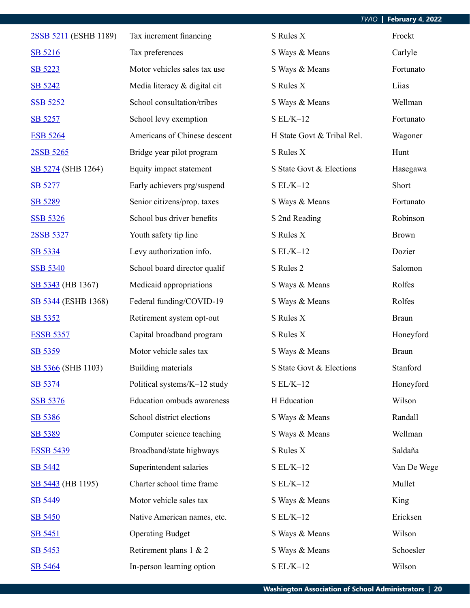| 2SSB 5211 (ESHB 1189) | Tax increment financing      | S Rules X                  | Frockt       |
|-----------------------|------------------------------|----------------------------|--------------|
| SB 5216               | Tax preferences              | S Ways & Means             | Carlyle      |
| SB 5223               | Motor vehicles sales tax use | S Ways & Means             | Fortunato    |
| SB 5242               | Media literacy & digital cit | S Rules X                  | Liias        |
| <b>SSB 5252</b>       | School consultation/tribes   | S Ways & Means             | Wellman      |
| SB 5257               | School levy exemption        | $SL/K-12$                  | Fortunato    |
| <b>ESB 5264</b>       | Americans of Chinese descent | H State Govt & Tribal Rel. | Wagoner      |
| 2SSB 5265             | Bridge year pilot program    | S Rules X                  | Hunt         |
| SB 5274 (SHB 1264)    | Equity impact statement      | S State Govt & Elections   | Hasegawa     |
| SB 5277               | Early achievers prg/suspend  | $SL/K-12$                  | Short        |
| SB 5289               | Senior citizens/prop. taxes  | S Ways & Means             | Fortunato    |
| <b>SSB 5326</b>       | School bus driver benefits   | S 2nd Reading              | Robinson     |
| 2SSB 5327             | Youth safety tip line        | S Rules X                  | <b>Brown</b> |
| SB 5334               | Levy authorization info.     | $SL/K-12$                  | Dozier       |
| <b>SSB 5340</b>       | School board director qualif | S Rules 2                  | Salomon      |
| SB 5343 (HB 1367)     | Medicaid appropriations      | S Ways & Means             | Rolfes       |
| SB 5344 (ESHB 1368)   | Federal funding/COVID-19     | S Ways & Means             | Rolfes       |
| SB 5352               | Retirement system opt-out    | S Rules X                  | <b>Braun</b> |
| <b>ESSB 5357</b>      | Capital broadband program    | S Rules X                  | Honeyford    |
| SB 5359               | Motor vehicle sales tax      | S Ways & Means             | <b>Braun</b> |
| SB 5366 (SHB 1103)    | Building materials           | S State Govt & Elections   | Stanford     |
| SB 5374               | Political systems/K-12 study | $SL/K-12$                  | Honeyford    |
| <b>SSB 5376</b>       | Education ombuds awareness   | H Education                | Wilson       |
| SB 5386               | School district elections    | S Ways & Means             | Randall      |
| SB 5389               | Computer science teaching    | S Ways & Means             | Wellman      |
| <b>ESSB 5439</b>      | Broadband/state highways     | S Rules X                  | Saldaña      |
| <b>SB 5442</b>        | Superintendent salaries      | $SL/K-12$                  | Van De Wege  |
| SB 5443 (HB 1195)     | Charter school time frame    | $S EL/K-12$                | Mullet       |
| SB 5449               | Motor vehicle sales tax      | S Ways & Means             | King         |
| <b>SB 5450</b>        | Native American names, etc.  | $SL/K-12$                  | Ericksen     |
| SB 5451               | <b>Operating Budget</b>      | S Ways & Means             | Wilson       |
| SB 5453               | Retirement plans 1 & 2       | S Ways & Means             | Schoesler    |
| SB 5464               | In-person learning option    | $SL/K-12$                  | Wilson       |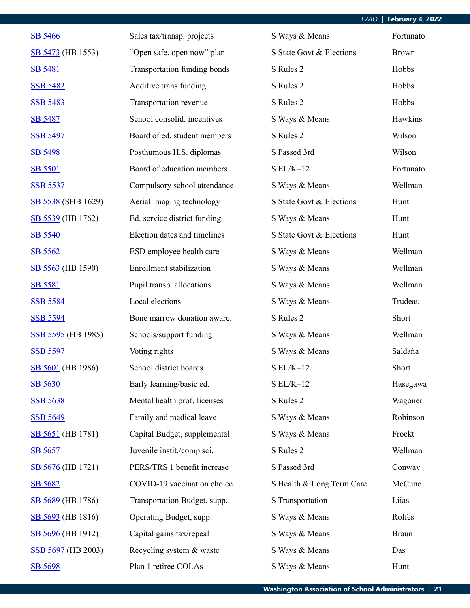| SB 5466            | Sales tax/transp. projects   | S Ways & Means            | Fortunato    |
|--------------------|------------------------------|---------------------------|--------------|
| SB 5473 (HB 1553)  | "Open safe, open now" plan   | S State Govt & Elections  | <b>Brown</b> |
| <b>SB 5481</b>     | Transportation funding bonds | S Rules 2                 | Hobbs        |
| <b>SSB 5482</b>    | Additive trans funding       | S Rules 2                 | Hobbs        |
| <b>SSB 5483</b>    | Transportation revenue       | S Rules 2                 | Hobbs        |
| <b>SB 5487</b>     | School consolid. incentives  | S Ways & Means            | Hawkins      |
| <b>SSB 5497</b>    | Board of ed. student members | S Rules 2                 | Wilson       |
| SB 5498            | Posthumous H.S. diplomas     | S Passed 3rd              | Wilson       |
| <b>SB 5501</b>     | Board of education members   | $SL/K-12$                 | Fortunato    |
| <b>SSB 5537</b>    | Compulsory school attendance | S Ways & Means            | Wellman      |
| SB 5538 (SHB 1629) | Aerial imaging technology    | S State Govt & Elections  | Hunt         |
| SB 5539 (HB 1762)  | Ed. service district funding | S Ways & Means            | Hunt         |
| SB 5540            | Election dates and timelines | S State Govt & Elections  | Hunt         |
| SB 5562            | ESD employee health care     | S Ways & Means            | Wellman      |
| SB 5563 (HB 1590)  | Enrollment stabilization     | S Ways & Means            | Wellman      |
| <b>SB 5581</b>     | Pupil transp. allocations    | S Ways & Means            | Wellman      |
| <b>SSB 5584</b>    | Local elections              | S Ways & Means            | Trudeau      |
| <b>SSB 5594</b>    | Bone marrow donation aware.  | S Rules 2                 | Short        |
| SSB 5595 (HB 1985) | Schools/support funding      | S Ways & Means            | Wellman      |
| <b>SSB 5597</b>    | Voting rights                | S Ways & Means            | Saldaña      |
| SB 5601 (HB 1986)  | School district boards       | $SL/K-12$                 | Short        |
| SB 5630            | Early learning/basic ed.     | $SL/K-12$                 | Hasegawa     |
| <b>SSB 5638</b>    | Mental health prof. licenses | S Rules 2                 | Wagoner      |
| <b>SSB 5649</b>    | Family and medical leave     | S Ways & Means            | Robinson     |
| SB 5651 (HB 1781)  | Capital Budget, supplemental | S Ways & Means            | Frockt       |
| SB 5657            | Juvenile instit./comp sci.   | S Rules 2                 | Wellman      |
| SB 5676 (HB 1721)  | PERS/TRS 1 benefit increase  | S Passed 3rd              | Conway       |
| SB 5682            | COVID-19 vaccination choice  | S Health & Long Term Care | McCune       |
| SB 5689 (HB 1786)  | Transportation Budget, supp. | S Transportation          | Liias        |
| SB 5693 (HB 1816)  | Operating Budget, supp.      | S Ways & Means            | Rolfes       |
| SB 5696 (HB 1912)  | Capital gains tax/repeal     | S Ways & Means            | <b>Braun</b> |
| SSB 5697 (HB 2003) | Recycling system & waste     | S Ways & Means            | Das          |
| SB 5698            | Plan 1 retiree COLAs         | S Ways & Means            | Hunt         |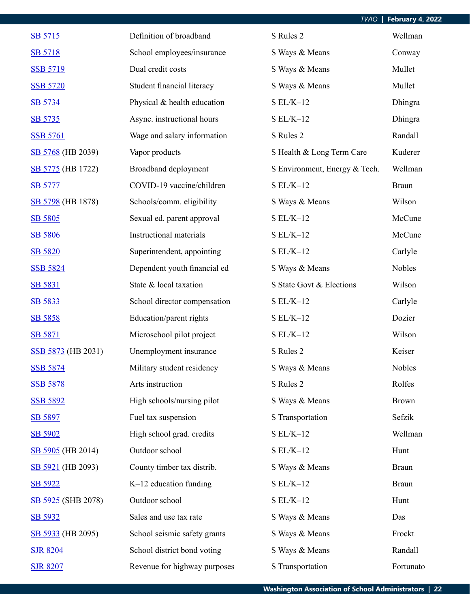| SB 5715            | Definition of broadband      | S Rules 2                     | Wellman      |
|--------------------|------------------------------|-------------------------------|--------------|
| <b>SB 5718</b>     | School employees/insurance   | S Ways & Means                | Conway       |
| <b>SSB 5719</b>    | Dual credit costs            | S Ways & Means                | Mullet       |
| <b>SSB 5720</b>    | Student financial literacy   | S Ways & Means                | Mullet       |
| SB 5734            | Physical & health education  | $S EL/K-12$                   | Dhingra      |
| SB 5735            | Async. instructional hours   | $S EL/K-12$                   | Dhingra      |
| <b>SSB 5761</b>    | Wage and salary information  | S Rules 2                     | Randall      |
| SB 5768 (HB 2039)  | Vapor products               | S Health & Long Term Care     | Kuderer      |
| SB 5775 (HB 1722)  | Broadband deployment         | S Environment, Energy & Tech. | Wellman      |
| <b>SB 5777</b>     | COVID-19 vaccine/children    | $SL/K-12$                     | <b>Braun</b> |
| SB 5798 (HB 1878)  | Schools/comm. eligibility    | S Ways & Means                | Wilson       |
| SB 5805            | Sexual ed. parent approval   | $SL/K-12$                     | McCune       |
| SB 5806            | Instructional materials      | $SL/K-12$                     | McCune       |
| SB 5820            | Superintendent, appointing   | $S EL/K-12$                   | Carlyle      |
| <b>SSB 5824</b>    | Dependent youth financial ed | S Ways & Means                | Nobles       |
| SB 5831            | State & local taxation       | S State Govt & Elections      | Wilson       |
| SB 5833            | School director compensation | $S$ EL/K-12 $\,$              | Carlyle      |
| SB 5858            | Education/parent rights      | $SL/K-12$                     | Dozier       |
| SB 5871            | Microschool pilot project    | $SL/K-12$                     | Wilson       |
| SSB 5873 (HB 2031) | Unemployment insurance       | S Rules 2                     | Keiser       |
| <b>SSB 5874</b>    | Military student residency   | S Ways & Means                | Nobles       |
| <b>SSB 5878</b>    | Arts instruction             | S Rules 2                     | Rolfes       |
| <b>SSB 5892</b>    | High schools/nursing pilot   | S Ways & Means                | <b>Brown</b> |
| SB 5897            | Fuel tax suspension          | S Transportation              | Sefzik       |
| SB 5902            | High school grad. credits    | $SL/K-12$                     | Wellman      |
| SB 5905 (HB 2014)  | Outdoor school               | $SL/K-12$                     | Hunt         |
| SB 5921 (HB 2093)  | County timber tax distrib.   | S Ways & Means                | <b>Braun</b> |
| SB 5922            | $K-12$ education funding     | $SL/K-12$                     | <b>Braun</b> |
| SB 5925 (SHB 2078) | Outdoor school               | $S EL/K-12$                   | Hunt         |
| SB 5932            | Sales and use tax rate       | S Ways & Means                | Das          |
| SB 5933 (HB 2095)  | School seismic safety grants | S Ways & Means                | Frockt       |
| <b>SJR 8204</b>    | School district bond voting  | S Ways & Means                | Randall      |
| <b>SJR 8207</b>    | Revenue for highway purposes | S Transportation              | Fortunato    |